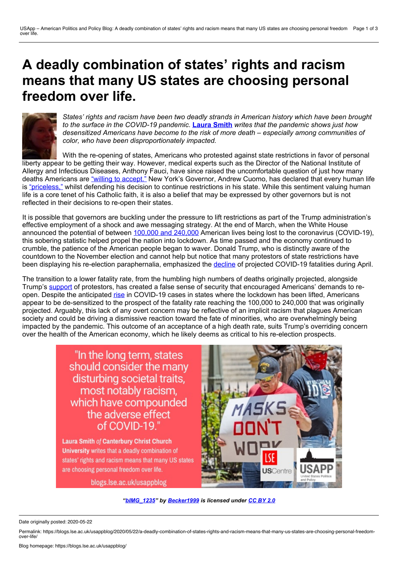# **A deadly combination of states' rights and racism means that many US states are choosing personal freedom over life.**



*States' rights and racism have been two deadly strands in American history which have been brought to the surface in the COVID-19 pandemic.* **Laura [Smith](https://wp.me/p3I2YF-9Xe#Author)** *writes that the pandemic shows just how desensitized Americans have become to the risk of more death – especially among communities of color, who have been disproportionately impacted.*

With the re-opening of states, Americans who protested against state restrictions in favor of personal liberty appear to be getting their way. However, medical experts such as the Director of the National Institute of Allergy and Infectious Diseases, Anthony Fauci, have since raised the uncomfortable question of just how many deaths Americans are "willing to [accept."](https://www.theguardian.com/world/live/2020/may/05/coronavirus-us-live-fauci-warns-against-rush-reopen-trump-cuomo-latest-news-updates?page=with:block-5eb16af88f08357ffc6185d9) New York's Governor, Andrew Cuomo, has declared that every human life is ["priceless,"](https://abc7ny.com/coronavirus-new-york-ny-cases-in-news/6153317/) whilst defending his decision to continue restrictions in his state. While this sentiment valuing human life is a core tenet of his Catholic faith, it is also a belief that may be expressed by other governors but is not reflected in their decisions to re-open their states.

It is possible that governors are buckling under the pressure to lift restrictions as part of the Trump administration's effective employment of a shock and awe messaging strategy. At the end of March, when the White House announced the potential of between 100,000 and [240,000](https://www.cnbc.com/2020/03/31/trump-says-the-coronavirus-surge-is-coming-its-going-to-be-a-very-very-painful-two-weeks.html) American lives being lost to the coronavirus (COVID-19), this sobering statistic helped propel the nation into lockdown. As time passed and the economy continued to crumble, the patience of the American people began to waver. Donald Trump, who is distinctly aware of the countdown to the November election and cannot help but notice that many protestors of state restrictions have been displaying his re-election paraphernalia, emphasized the [decline](https://www.politico.com/news/2020/04/28/death-toll-coronavirus-estimate-214339) of projected COVID-19 fatalities during April.

The transition to a lower fatality rate, from the humbling high numbers of deaths originally projected, alongside Trump's [support](https://thehill.com/homenews/administration/493701-trump-support-for-protests-threatens-to-undermine-social-distancing) of protestors, has created a false sense of security that encouraged Americans' demands to reopen. Despite the anticipated [rise](https://www.nytimes.com/2020/05/04/us/coronavirus-live-updates.html) in COVID-19 cases in states where the lockdown has been lifted, Americans appear to be de-sensitized to the prospect of the fatality rate reaching the 100,000 to 240,000 that was originally projected. Arguably, this lack of any overt concern may be reflective of an implicit racism that plagues American society and could be driving a dismissive reaction toward the fate of minorities, who are overwhelmingly being impacted by the pandemic. This outcome of an acceptance of a high death rate, suits Trump's overriding concern over the health of the American economy, which he likely deems as critical to his re-election prospects.

> "In the long term, states should consider the many disturbing societal traits. most notably racism, which have compounded the adverse effect of COVID-19."

Laura Smith of Canterbury Christ Church University writes that a deadly combination of states' rights and racism means that many US states are choosing personal freedom over life.

blogs.lse.ac.uk/usappblog



*["bIMG\\_1235"](https://www.flickr.com/photos/becker271/49903512197/) by [Becker1999](https://www.flickr.com/photos/becker271/) is licensed under [CC](https://www.flickr.com/photos/becker271/49903512197/) BY 2.0*

Date originally posted: 2020-05-22

Permalink: https://blogs.lse.ac.uk/usappblog/2020/05/22/a-deadly-combination-of-states-rights-and-racism-means-that-many-us-states-are-choosing-personal-freedom-<br>over-life/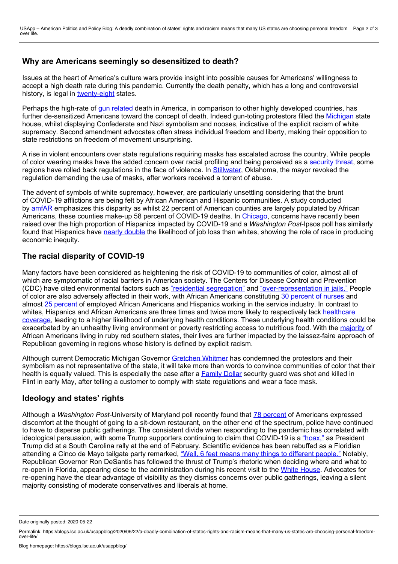## **Why are Americans seemingly so desensitized to death?**

Issues at the heart of America's culture wars provide insight into possible causes for Americans' willingness to accept a high death rate during this pandemic. Currently the death penalty, which has a long and controversial history, is legal in [twenty-eight](https://www.ncsl.org/research/civil-and-criminal-justice/death-penalty.aspx) states.

Perhaps the high-rate of gun [related](https://www.npr.org/sections/goatsandsoda/2019/08/05/743579605/how-the-u-s-compares-to-other-countries-in-deaths-from-gun-violence) death in America, in comparison to other highly developed countries, has further de-sensitized Americans toward the concept of death. Indeed gun-toting protestors filled the [Michigan](https://www.theguardian.com/us-news/2020/may/03/michigan-gretchen-whitmer-lockdown-protest-racism) state house, whilst displaying Confederate and Nazi symbolism and nooses, indicative of the explicit racism of white supremacy. Second amendment advocates often stress individual freedom and liberty, making their opposition to state restrictions on freedom of movement unsurprising.

A rise in violent encounters over state regulations requiring masks has escalated across the country. While people of color wearing masks have the added concern over racial profiling and being perceived as a [security](https://news.yahoo.com/incomprehensible-confrontations-over-masks-erupt-amid-covid-19-105834064--abc-news-topstories.html?guccounter=1&guce_referrer=aHR0cHM6Ly93d3cuZ29vZ2xlLmNvbS8&guce_referrer_sig=AQAAAEPyEMnpI8OpDW5WziRh1KUtZpCPFUSl8r-pAKDm4ab57A8Dpopn1dz5dqjkLwirHVH7PZYjesFfIP-0TBkrQcrg_MddxPw-X1M9-b-HVK_3B1cpiVKrU-00V7JjvpXLgIXqQYH1zcRpkwbRDgq1_AEg7RZaHRwuGQmx1hEApv1Q) threat, some regions have rolled back regulations in the face of violence. In [Stillwater](https://news.yahoo.com/incomprehensible-confrontations-over-masks-erupt-amid-covid-19-105834064--abc-news-topstories.html?guccounter=1&guce_referrer=aHR0cHM6Ly93d3cuZ29vZ2xlLmNvbS8&guce_referrer_sig=AQAAAEPyEMnpI8OpDW5WziRh1KUtZpCPFUSl8r-pAKDm4ab57A8Dpopn1dz5dqjkLwirHVH7PZYjesFfIP-0TBkrQcrg_MddxPw-X1M9-b-HVK_3B1cpiVKrU-00V7JjvpXLgIXqQYH1zcRpkwbRDgq1_AEg7RZaHRwuGQmx1hEApv1Q), Oklahoma, the mayor revoked the regulation demanding the use of masks, after workers received a torrent of abuse.

The advent of symbols of white supremacy, however, are particularly unsettling considering that the brunt of COVID-19 afflictions are being felt by African American and Hispanic communities. A study conducted by [amfAR](https://www.amfar.org/amfAR-Study-Shows-Disproportionate-Impact-of-COVID-19-on-Black-Americans/) emphasizes this disparity as whilst 22 percent of American counties are largely populated by African Americans, these counties make-up 58 percent of COVID-19 deaths. In [Chicago,](https://chicago.suntimes.com/coronavirus/2020/5/6/21249879/pritzker-lightfoot-coronavirus-covid-19-cases-hispanics-african-americans-chicago-illinois) concerns have recently been raised over the high proportion of Hispanics impacted by COVID-19 and a *Washington Post*-Ipsos poll has similarly found that Hispanics have nearly [double](https://www.washingtonpost.com/business/2020/05/06/layoffs-race-poll-coronavirus/?utm_campaign=wp_todays_headlines&utm_medium=email&utm_source=newsletter&wpisrc=nl_headlines) the likelihood of job loss than whites, showing the role of race in producing economic inequity.

## **The racial disparity of COVID-19**

Many factors have been considered as heightening the risk of COVID-19 to communities of color, almost all of which are symptomatic of racial barriers in American society. The Centers for Disease Control and Prevention (CDC) have cited environmental factors such as "residential [segregation"](https://www.cdc.gov/coronavirus/2019-ncov/need-extra-precautions/racial-ethnic-minorities.html) and ["over-representation](https://www.cdc.gov/coronavirus/2019-ncov/need-extra-precautions/racial-ethnic-minorities.html) in jails." People of color are also adversely affected in their work, with African Americans constituting 30 [percent](https://www.cdc.gov/coronavirus/2019-ncov/need-extra-precautions/racial-ethnic-minorities.html) of nurses and almost 25 [percent](https://www.cdc.gov/coronavirus/2019-ncov/need-extra-precautions/racial-ethnic-minorities.html) of employed African Americans and Hispanics working in the service industry. In contrast to whites, Hispanics and African Americans are three times and twice more likely to [respectively](https://www.cdc.gov/coronavirus/2019-ncov/need-extra-precautions/racial-ethnic-minorities.html) lack healthcare coverage, leading to a higher likelihood of underlying health conditions. These underlying health conditions could be exacerbated by an unhealthy living environment or poverty restricting access to nutritious food. With the [majority](https://www.washingtonpost.com/politics/2020/04/10/4-reasons-coronavirus-is-hitting-black-communities-so-hard/?utm_campaign=wp_the_5_minute_fix&utm_medium=email&utm_source=newsletter&wpisrc=nl_fix) of African Americans living in ruby red southern states, their lives are further impacted by the laissez-faire approach of Republican governing in regions whose history is defined by explicit racism.

Although current Democratic Michigan Governor [Gretchen](https://www.theguardian.com/us-news/2020/may/03/michigan-gretchen-whitmer-lockdown-protest-racism) Whitmer has condemned the protestors and their symbolism as not representative of the state, it will take more than words to convince communities of color that their health is equally valued. This is especially the case after a [Family](https://edition.cnn.com/2020/05/04/us/michigan-security-guard-mask-killing-trnd/index.html) Dollar security quard was shot and killed in Flint in early May, after telling a customer to comply with state regulations and wear a face mask.

## **Ideology and states' rights**

Although a *Washington Post*-University of Maryland poll recently found that 78 [percent](https://www.washingtonpost.com/politics/americans-widely-oppose-reopening-most-businesses-despite-easing-of-restrictions-in-some-states-post-u-md-poll-finds/2020/05/04/495ddc3a-8e36-11ea-9e23-6914ee410a5f_story.html) of Americans expressed discomfort at the thought of going to a sit-down restaurant, on the other end of the spectrum, police have continued to have to disperse public gatherings. The consistent divide when responding to the pandemic has correlated with ideological persuasion, with some Trump supporters continuing to claim that COVID-19 is a ["hoax,"](https://www.c-span.org/video/?c4863522/user-clip-corona-virus-hoax) as President Trump did at a South Carolina rally at the end of February. Scientific evidence has been rebuffed as a Floridian attending a Cinco de Mayo tailgate party remarked, "Well, 6 feet means many things to [different](https://www.news4jax.com/news/local/2020/05/05/police-called-to-large-crowd-gathered-outside-jacksonville-restaurant/) people." Notably, Republican Governor Ron DeSantis has followed the thrust of Trump's rhetoric when deciding where and what to re-open in Florida, appearing close to the administration during his recent visit to the White [House.](https://www.cnbc.com/2020/04/28/trump-and-florida-gov-ron-desantis-to-hold-press-conference-tuesday-morning.html) Advocates for re-opening have the clear advantage of visibility as they dismiss concerns over public gatherings, leaving a silent majority consisting of moderate conservatives and liberals at home.

Date originally posted: 2020-05-22

Permalink: https://blogs.lse.ac.uk/usappblog/2020/05/22/a-deadly-combination-of-states-rights-and-racism-means-that-many-us-states-are-choosing-personal-freedom-<br>over-life/